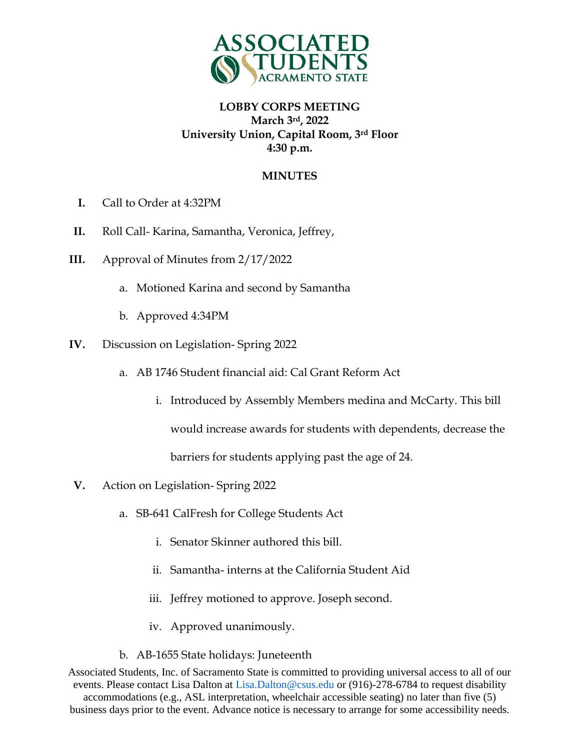

## **LOBBY CORPS MEETING March 3rd, 2022 University Union, Capital Room, 3rd Floor 4:30 p.m.**

#### **MINUTES**

- **I.** Call to Order at 4:32PM
- **II.** Roll Call- Karina, Samantha, Veronica, Jeffrey,
- **III.** Approval of Minutes from 2/17/2022
	- a. Motioned Karina and second by Samantha
	- b. Approved 4:34PM
- **IV.** Discussion on Legislation- Spring 2022
	- a. AB 1746 Student financial aid: Cal Grant Reform Act
		- i. Introduced by Assembly Members medina and McCarty. This bill

would increase awards for students with dependents, decrease the

barriers for students applying past the age of 24.

- **V.** Action on Legislation- Spring 2022
	- a. SB-641 CalFresh for College Students Act
		- i. Senator Skinner authored this bill.
		- ii. Samantha- interns at the California Student Aid
		- iii. Jeffrey motioned to approve. Joseph second.
		- iv. Approved unanimously.
	- b. AB-1655 State holidays: Juneteenth

Associated Students, Inc. of Sacramento State is committed to providing universal access to all of our events. Please contact Lisa Dalton at Lisa.Dalton@csus.edu or (916)-278-6784 to request disability accommodations (e.g., ASL interpretation, wheelchair accessible seating) no later than five (5) business days prior to the event. Advance notice is necessary to arrange for some accessibility needs.